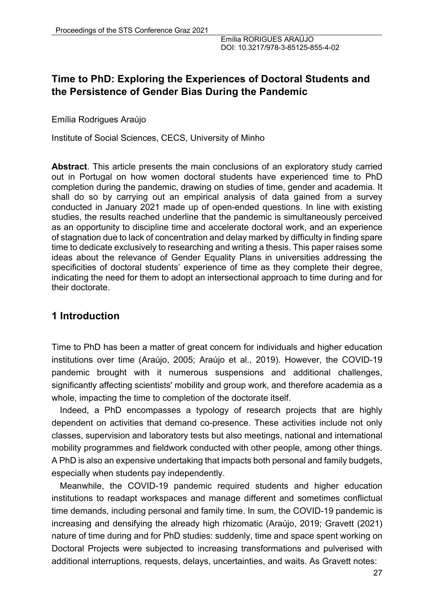# **Time to PhD: Exploring the Experiences of Doctoral Students and the Persistence of Gender Bias During the Pandemic**

Emília Rodrigues Araújo

Institute of Social Sciences, CECS, University of Minho

**Abstract**. This article presents the main conclusions of an exploratory study carried out in Portugal on how women doctoral students have experienced time to PhD completion during the pandemic, drawing on studies of time, gender and academia. It shall do so by carrying out an empirical analysis of data gained from a survey conducted in January 2021 made up of open-ended questions. In line with existing studies, the results reached underline that the pandemic is simultaneously perceived as an opportunity to discipline time and accelerate doctoral work, and an experience of stagnation due to lack of concentration and delay marked by difficulty in finding spare time to dedicate exclusively to researching and writing a thesis. This paper raises some ideas about the relevance of Gender Equality Plans in universities addressing the specificities of doctoral students' experience of time as they complete their degree, indicating the need for them to adopt an intersectional approach to time during and for their doctorate.

# **1 Introduction**

Time to PhD has been a matter of great concern for individuals and higher education institutions over time (Araújo, 2005; Araújo et al., 2019). However, the COVID-19 pandemic brought with it numerous suspensions and additional challenges, significantly affecting scientists' mobility and group work, and therefore academia as a whole, impacting the time to completion of the doctorate itself.

Indeed, a PhD encompasses a typology of research projects that are highly dependent on activities that demand co-presence. These activities include not only classes, supervision and laboratory tests but also meetings, national and international mobility programmes and fieldwork conducted with other people, among other things. A PhD is also an expensive undertaking that impacts both personal and family budgets, especially when students pay independently.

Meanwhile, the COVID-19 pandemic required students and higher education institutions to readapt workspaces and manage different and sometimes conflictual time demands, including personal and family time. In sum, the COVID-19 pandemic is increasing and densifying the already high rhizomatic (Araújo, 2019; Gravett (2021) nature of time during and for PhD studies: suddenly, time and space spent working on Doctoral Projects were subjected to increasing transformations and pulverised with additional interruptions, requests, delays, uncertainties, and waits. As Gravett notes: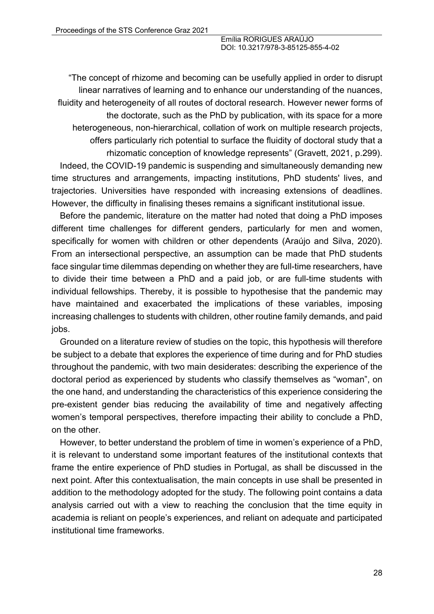"The concept of rhizome and becoming can be usefully applied in order to disrupt linear narratives of learning and to enhance our understanding of the nuances, fluidity and heterogeneity of all routes of doctoral research. However newer forms of the doctorate, such as the PhD by publication, with its space for a more heterogeneous, non-hierarchical, collation of work on multiple research projects, offers particularly rich potential to surface the fluidity of doctoral study that a rhizomatic conception of knowledge represents" (Gravett, 2021, p.299).

Indeed, the COVID-19 pandemic is suspending and simultaneously demanding new time structures and arrangements, impacting institutions, PhD students' lives, and trajectories. Universities have responded with increasing extensions of deadlines. However, the difficulty in finalising theses remains a significant institutional issue.

Before the pandemic, literature on the matter had noted that doing a PhD imposes different time challenges for different genders, particularly for men and women, specifically for women with children or other dependents (Araújo and Silva, 2020). From an intersectional perspective, an assumption can be made that PhD students face singular time dilemmas depending on whether they are full-time researchers, have to divide their time between a PhD and a paid job, or are full-time students with individual fellowships. Thereby, it is possible to hypothesise that the pandemic may have maintained and exacerbated the implications of these variables, imposing increasing challenges to students with children, other routine family demands, and paid jobs.

Grounded on a literature review of studies on the topic, this hypothesis will therefore be subject to a debate that explores the experience of time during and for PhD studies throughout the pandemic, with two main desiderates: describing the experience of the doctoral period as experienced by students who classify themselves as "woman", on the one hand, and understanding the characteristics of this experience considering the pre-existent gender bias reducing the availability of time and negatively affecting women's temporal perspectives, therefore impacting their ability to conclude a PhD, on the other.

However, to better understand the problem of time in women's experience of a PhD, it is relevant to understand some important features of the institutional contexts that frame the entire experience of PhD studies in Portugal, as shall be discussed in the next point. After this contextualisation, the main concepts in use shall be presented in addition to the methodology adopted for the study. The following point contains a data analysis carried out with a view to reaching the conclusion that the time equity in academia is reliant on people's experiences, and reliant on adequate and participated institutional time frameworks.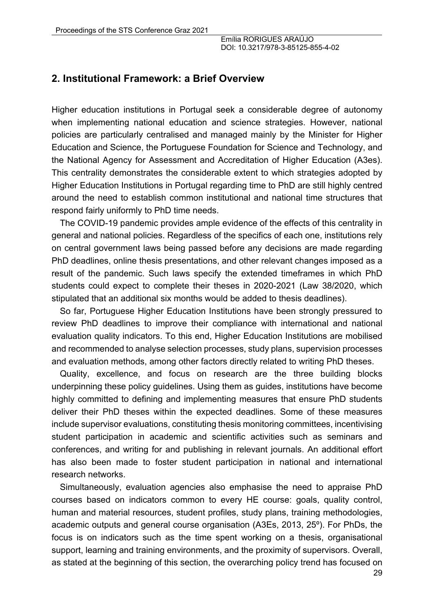### **2. Institutional Framework: a Brief Overview**

Higher education institutions in Portugal seek a considerable degree of autonomy when implementing national education and science strategies. However, national policies are particularly centralised and managed mainly by the Minister for Higher Education and Science, the Portuguese Foundation for Science and Technology, and the National Agency for Assessment and Accreditation of Higher Education (A3es). This centrality demonstrates the considerable extent to which strategies adopted by Higher Education Institutions in Portugal regarding time to PhD are still highly centred around the need to establish common institutional and national time structures that respond fairly uniformly to PhD time needs.

The COVID-19 pandemic provides ample evidence of the effects of this centrality in general and national policies. Regardless of the specifics of each one, institutions rely on central government laws being passed before any decisions are made regarding PhD deadlines, online thesis presentations, and other relevant changes imposed as a result of the pandemic. Such laws specify the extended timeframes in which PhD students could expect to complete their theses in 2020-2021 (Law 38/2020, which stipulated that an additional six months would be added to thesis deadlines).

So far, Portuguese Higher Education Institutions have been strongly pressured to review PhD deadlines to improve their compliance with international and national evaluation quality indicators. To this end, Higher Education Institutions are mobilised and recommended to analyse selection processes, study plans, supervision processes and evaluation methods, among other factors directly related to writing PhD theses.

Quality, excellence, and focus on research are the three building blocks underpinning these policy guidelines. Using them as guides, institutions have become highly committed to defining and implementing measures that ensure PhD students deliver their PhD theses within the expected deadlines. Some of these measures include supervisor evaluations, constituting thesis monitoring committees, incentivising student participation in academic and scientific activities such as seminars and conferences, and writing for and publishing in relevant journals. An additional effort has also been made to foster student participation in national and international research networks.

Simultaneously, evaluation agencies also emphasise the need to appraise PhD courses based on indicators common to every HE course: goals, quality control, human and material resources, student profiles, study plans, training methodologies, academic outputs and general course organisation (A3Es, 2013, 25º). For PhDs, the focus is on indicators such as the time spent working on a thesis, organisational support, learning and training environments, and the proximity of supervisors. Overall, as stated at the beginning of this section, the overarching policy trend has focused on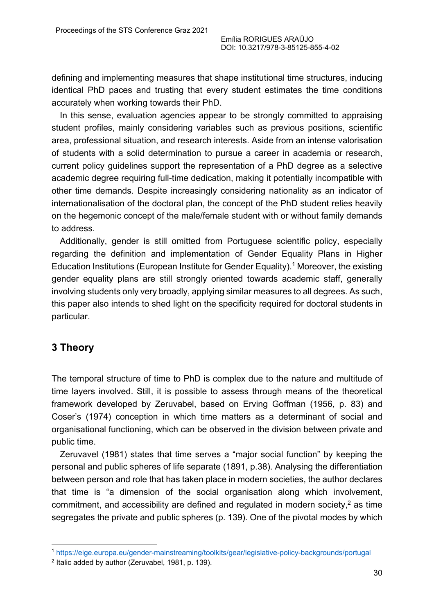defining and implementing measures that shape institutional time structures, inducing identical PhD paces and trusting that every student estimates the time conditions accurately when working towards their PhD.

In this sense, evaluation agencies appear to be strongly committed to appraising student profiles, mainly considering variables such as previous positions, scientific area, professional situation, and research interests. Aside from an intense valorisation of students with a solid determination to pursue a career in academia or research, current policy guidelines support the representation of a PhD degree as a selective academic degree requiring full-time dedication, making it potentially incompatible with other time demands. Despite increasingly considering nationality as an indicator of internationalisation of the doctoral plan, the concept of the PhD student relies heavily on the hegemonic concept of the male/female student with or without family demands to address.

Additionally, gender is still omitted from Portuguese scientific policy, especially regarding the definition and implementation of Gender Equality Plans in Higher Education Institutions (European Institute for Gender Equality).<sup>1</sup> Moreover, the existing gender equality plans are still strongly oriented towards academic staff, generally involving students only very broadly, applying similar measures to all degrees. As such, this paper also intends to shed light on the specificity required for doctoral students in particular.

# **3 Theory**

The temporal structure of time to PhD is complex due to the nature and multitude of time layers involved. Still, it is possible to assess through means of the theoretical framework developed by Zeruvabel, based on Erving Goffman (1956, p. 83) and Coser's (1974) conception in which time matters as a determinant of social and organisational functioning, which can be observed in the division between private and public time.

Zeruvavel (1981) states that time serves a "major social function" by keeping the personal and public spheres of life separate (1891, p.38). Analysing the differentiation between person and role that has taken place in modern societies, the author declares that time is "a dimension of the social organisation along which involvement, commitment, and accessibility are defined and regulated in modern society, $2$  as time segregates the private and public spheres (p. 139). One of the pivotal modes by which

<sup>1</sup> https://eige.europa.eu/gender-mainstreaming/toolkits/gear/legislative-policy-backgrounds/portugal

<sup>2</sup> Italic added by author (Zeruvabel, 1981, p. 139).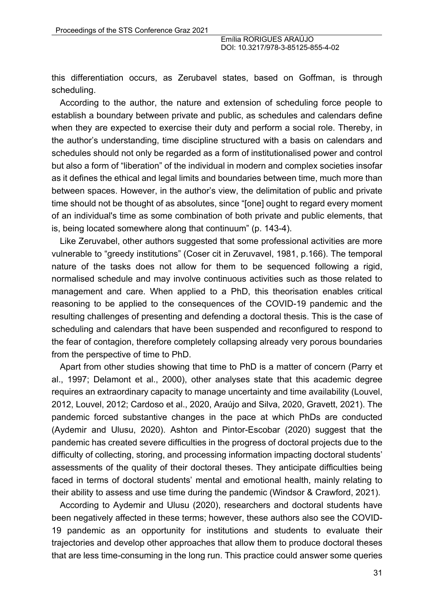this differentiation occurs, as Zerubavel states, based on Goffman, is through scheduling.

According to the author, the nature and extension of scheduling force people to establish a boundary between private and public, as schedules and calendars define when they are expected to exercise their duty and perform a social role. Thereby, in the author's understanding, time discipline structured with a basis on calendars and schedules should not only be regarded as a form of institutionalised power and control but also a form of "liberation" of the individual in modern and complex societies insofar as it defines the ethical and legal limits and boundaries between time, much more than between spaces. However, in the author's view, the delimitation of public and private time should not be thought of as absolutes, since "[one] ought to regard every moment of an individual's time as some combination of both private and public elements, that is, being located somewhere along that continuum" (p. 143-4).

Like Zeruvabel, other authors suggested that some professional activities are more vulnerable to "greedy institutions" (Coser cit in Zeruvavel, 1981, p.166). The temporal nature of the tasks does not allow for them to be sequenced following a rigid, normalised schedule and may involve continuous activities such as those related to management and care. When applied to a PhD, this theorisation enables critical reasoning to be applied to the consequences of the COVID-19 pandemic and the resulting challenges of presenting and defending a doctoral thesis. This is the case of scheduling and calendars that have been suspended and reconfigured to respond to the fear of contagion, therefore completely collapsing already very porous boundaries from the perspective of time to PhD.

Apart from other studies showing that time to PhD is a matter of concern (Parry et al., 1997; Delamont et al., 2000), other analyses state that this academic degree requires an extraordinary capacity to manage uncertainty and time availability (Louvel, 2012, Louvel, 2012; Cardoso et al., 2020, Araújo and Silva, 2020, Gravett, 2021). The pandemic forced substantive changes in the pace at which PhDs are conducted (Aydemir and Ulusu, 2020). Ashton and Pintor-Escobar (2020) suggest that the pandemic has created severe difficulties in the progress of doctoral projects due to the difficulty of collecting, storing, and processing information impacting doctoral students' assessments of the quality of their doctoral theses. They anticipate difficulties being faced in terms of doctoral students' mental and emotional health, mainly relating to their ability to assess and use time during the pandemic (Windsor & Crawford, 2021).

According to Aydemir and Ulusu (2020), researchers and doctoral students have been negatively affected in these terms; however, these authors also see the COVID-19 pandemic as an opportunity for institutions and students to evaluate their trajectories and develop other approaches that allow them to produce doctoral theses that are less time-consuming in the long run. This practice could answer some queries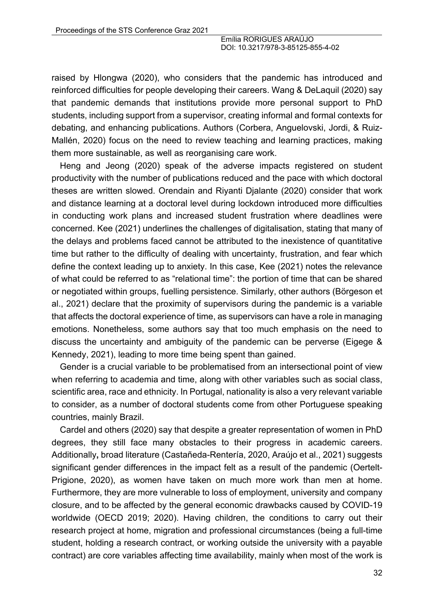raised by Hlongwa (2020), who considers that the pandemic has introduced and reinforced difficulties for people developing their careers. Wang & DeLaquil (2020) say that pandemic demands that institutions provide more personal support to PhD students, including support from a supervisor, creating informal and formal contexts for debating, and enhancing publications. Authors (Corbera, Anguelovski, Jordi, & Ruiz-Mallén, 2020) focus on the need to review teaching and learning practices, making them more sustainable, as well as reorganising care work.

Heng and Jeong (2020) speak of the adverse impacts registered on student productivity with the number of publications reduced and the pace with which doctoral theses are written slowed. Orendain and Riyanti Djalante (2020) consider that work and distance learning at a doctoral level during lockdown introduced more difficulties in conducting work plans and increased student frustration where deadlines were concerned. Kee (2021) underlines the challenges of digitalisation, stating that many of the delays and problems faced cannot be attributed to the inexistence of quantitative time but rather to the difficulty of dealing with uncertainty, frustration, and fear which define the context leading up to anxiety. In this case, Kee (2021) notes the relevance of what could be referred to as "relational time": the portion of time that can be shared or negotiated within groups, fuelling persistence. Similarly, other authors (Börgeson et al., 2021) declare that the proximity of supervisors during the pandemic is a variable that affects the doctoral experience of time, as supervisors can have a role in managing emotions. Nonetheless, some authors say that too much emphasis on the need to discuss the uncertainty and ambiguity of the pandemic can be perverse (Eigege & Kennedy, 2021), leading to more time being spent than gained.

Gender is a crucial variable to be problematised from an intersectional point of view when referring to academia and time, along with other variables such as social class, scientific area, race and ethnicity. In Portugal, nationality is also a very relevant variable to consider, as a number of doctoral students come from other Portuguese speaking countries, mainly Brazil.

Cardel and others (2020) say that despite a greater representation of women in PhD degrees, they still face many obstacles to their progress in academic careers. Additionally**,** broad literature (Castañeda-Rentería, 2020, Araújo et al., 2021) suggests significant gender differences in the impact felt as a result of the pandemic (Oertelt-Prigione, 2020), as women have taken on much more work than men at home. Furthermore, they are more vulnerable to loss of employment, university and company closure, and to be affected by the general economic drawbacks caused by COVID-19 worldwide (OECD 2019; 2020). Having children, the conditions to carry out their research project at home, migration and professional circumstances (being a full-time student, holding a research contract, or working outside the university with a payable contract) are core variables affecting time availability, mainly when most of the work is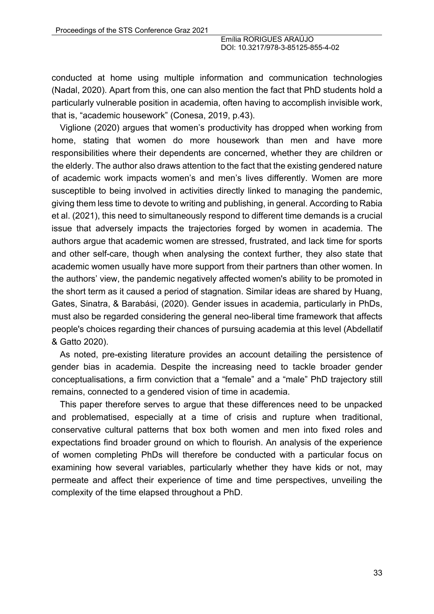conducted at home using multiple information and communication technologies (Nadal, 2020). Apart from this, one can also mention the fact that PhD students hold a particularly vulnerable position in academia, often having to accomplish invisible work, that is, "academic housework" (Conesa, 2019, p.43).

Viglione (2020) argues that women's productivity has dropped when working from home, stating that women do more housework than men and have more responsibilities where their dependents are concerned, whether they are children or the elderly. The author also draws attention to the fact that the existing gendered nature of academic work impacts women's and men's lives differently. Women are more susceptible to being involved in activities directly linked to managing the pandemic, giving them less time to devote to writing and publishing, in general. According to Rabia et al. (2021), this need to simultaneously respond to different time demands is a crucial issue that adversely impacts the trajectories forged by women in academia. The authors argue that academic women are stressed, frustrated, and lack time for sports and other self-care, though when analysing the context further, they also state that academic women usually have more support from their partners than other women. In the authors' view, the pandemic negatively affected women's ability to be promoted in the short term as it caused a period of stagnation. Similar ideas are shared by Huang, Gates, Sinatra, & Barabási, (2020). Gender issues in academia, particularly in PhDs, must also be regarded considering the general neo-liberal time framework that affects people's choices regarding their chances of pursuing academia at this level (Abdellatif & Gatto 2020).

As noted, pre-existing literature provides an account detailing the persistence of gender bias in academia. Despite the increasing need to tackle broader gender conceptualisations, a firm conviction that a "female" and a "male" PhD trajectory still remains, connected to a gendered vision of time in academia.

This paper therefore serves to argue that these differences need to be unpacked and problematised, especially at a time of crisis and rupture when traditional, conservative cultural patterns that box both women and men into fixed roles and expectations find broader ground on which to flourish. An analysis of the experience of women completing PhDs will therefore be conducted with a particular focus on examining how several variables, particularly whether they have kids or not, may permeate and affect their experience of time and time perspectives, unveiling the complexity of the time elapsed throughout a PhD.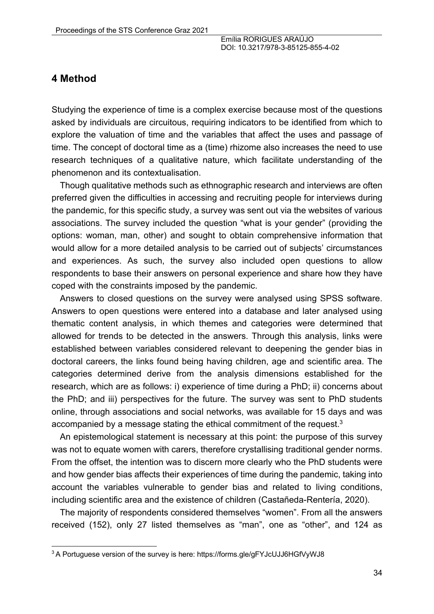#### **4 Method**

Studying the experience of time is a complex exercise because most of the questions asked by individuals are circuitous, requiring indicators to be identified from which to explore the valuation of time and the variables that affect the uses and passage of time. The concept of doctoral time as a (time) rhizome also increases the need to use research techniques of a qualitative nature, which facilitate understanding of the phenomenon and its contextualisation.

Though qualitative methods such as ethnographic research and interviews are often preferred given the difficulties in accessing and recruiting people for interviews during the pandemic, for this specific study, a survey was sent out via the websites of various associations. The survey included the question "what is your gender" (providing the options: woman, man, other) and sought to obtain comprehensive information that would allow for a more detailed analysis to be carried out of subjects' circumstances and experiences. As such, the survey also included open questions to allow respondents to base their answers on personal experience and share how they have coped with the constraints imposed by the pandemic.

Answers to closed questions on the survey were analysed using SPSS software. Answers to open questions were entered into a database and later analysed using thematic content analysis, in which themes and categories were determined that allowed for trends to be detected in the answers. Through this analysis, links were established between variables considered relevant to deepening the gender bias in doctoral careers, the links found being having children, age and scientific area. The categories determined derive from the analysis dimensions established for the research, which are as follows: i) experience of time during a PhD; ii) concerns about the PhD; and iii) perspectives for the future. The survey was sent to PhD students online, through associations and social networks, was available for 15 days and was accompanied by a message stating the ethical commitment of the request.<sup>3</sup>

An epistemological statement is necessary at this point: the purpose of this survey was not to equate women with carers, therefore crystallising traditional gender norms. From the offset, the intention was to discern more clearly who the PhD students were and how gender bias affects their experiences of time during the pandemic, taking into account the variables vulnerable to gender bias and related to living conditions, including scientific area and the existence of children (Castañeda-Rentería, 2020).

The majority of respondents considered themselves "women". From all the answers received (152), only 27 listed themselves as "man", one as "other", and 124 as

<sup>&</sup>lt;sup>3</sup> A Portuguese version of the survey is here: https://forms.gle/gFYJcUJJ6HGfVyWJ8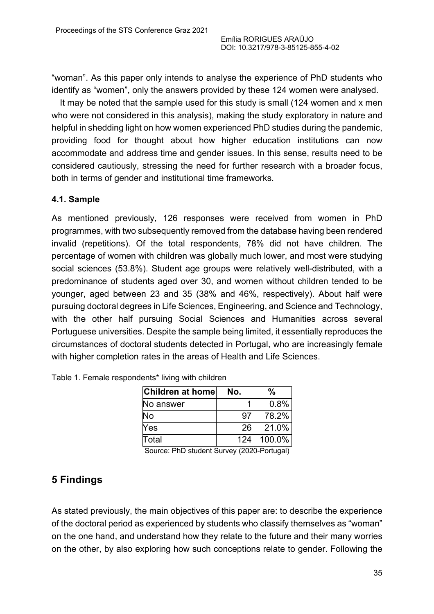"woman". As this paper only intends to analyse the experience of PhD students who identify as "women", only the answers provided by these 124 women were analysed.

It may be noted that the sample used for this study is small (124 women and x men who were not considered in this analysis), making the study exploratory in nature and helpful in shedding light on how women experienced PhD studies during the pandemic, providing food for thought about how higher education institutions can now accommodate and address time and gender issues. In this sense, results need to be considered cautiously, stressing the need for further research with a broader focus, both in terms of gender and institutional time frameworks.

#### **4.1. Sample**

As mentioned previously, 126 responses were received from women in PhD programmes, with two subsequently removed from the database having been rendered invalid (repetitions). Of the total respondents, 78% did not have children. The percentage of women with children was globally much lower, and most were studying social sciences (53.8%). Student age groups were relatively well-distributed, with a predominance of students aged over 30, and women without children tended to be younger, aged between 23 and 35 (38% and 46%, respectively). About half were pursuing doctoral degrees in Life Sciences, Engineering, and Science and Technology, with the other half pursuing Social Sciences and Humanities across several Portuguese universities. Despite the sample being limited, it essentially reproduces the circumstances of doctoral students detected in Portugal, who are increasingly female with higher completion rates in the areas of Health and Life Sciences.

| Children at home | No. | %      |
|------------------|-----|--------|
| No answer        |     | 0.8%   |
| No               | 97  | 78.2%  |
| Yes              | 26  | 21.0%  |
| Total            | 124 | 100.0% |

|  | Table 1. Female respondents* living with children |  |  |
|--|---------------------------------------------------|--|--|
|  |                                                   |  |  |

Source: PhD student Survey (2020-Portugal)

# **5 Findings**

As stated previously, the main objectives of this paper are: to describe the experience of the doctoral period as experienced by students who classify themselves as "woman" on the one hand, and understand how they relate to the future and their many worries on the other, by also exploring how such conceptions relate to gender. Following the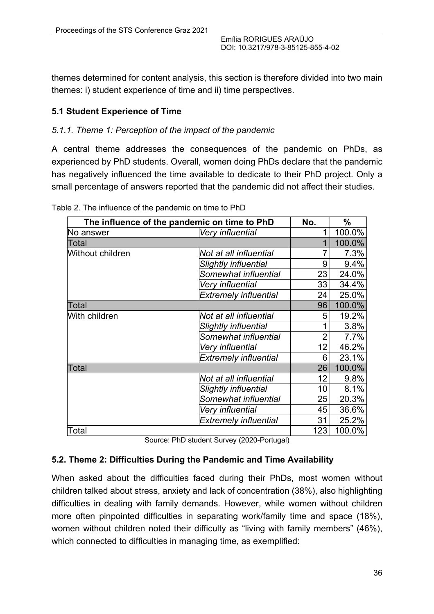themes determined for content analysis, this section is therefore divided into two main themes: i) student experience of time and ii) time perspectives.

### **5.1 Student Experience of Time**

#### *5.1.1. Theme 1: Perception of the impact of the pandemic*

A central theme addresses the consequences of the pandemic on PhDs, as experienced by PhD students. Overall, women doing PhDs declare that the pandemic has negatively influenced the time available to dedicate to their PhD project. Only a small percentage of answers reported that the pandemic did not affect their studies.

| The influence of the pandemic on time to PhD |                              |                | $\%$   |
|----------------------------------------------|------------------------------|----------------|--------|
| No answer                                    | Very influential             | 1              | 100.0% |
| Total                                        |                              | 1              | 100.0% |
| Without children                             | Not at all influential       | $\overline{7}$ | 7.3%   |
|                                              | <b>Slightly influential</b>  | 9              | 9.4%   |
|                                              | Somewhat influential         | 23             | 24.0%  |
|                                              | Very influential             | 33             | 34.4%  |
|                                              | <b>Extremely influential</b> | 24             | 25.0%  |
| Total                                        |                              | 96             | 100.0% |
| With children                                | Not at all influential       | 5              | 19.2%  |
|                                              | <b>Slightly influential</b>  | 1              | 3.8%   |
|                                              | Somewhat influential         | $\overline{2}$ | 7.7%   |
|                                              | Very influential             | 12             | 46.2%  |
|                                              | <b>Extremely influential</b> | 6              | 23.1%  |
| Total                                        |                              | 26             | 100.0% |
|                                              | Not at all influential       | 12             | 9.8%   |
|                                              | <b>Slightly influential</b>  | 10             | 8.1%   |
|                                              | Somewhat influential         | 25             | 20.3%  |
|                                              | Very influential             | 45             | 36.6%  |
|                                              | <b>Extremely influential</b> | 31             | 25.2%  |
| Total                                        |                              | 123            | 100.0% |

Table 2. The influence of the pandemic on time to PhD

Source: PhD student Survey (2020-Portugal)

#### **5.2. Theme 2: Difficulties During the Pandemic and Time Availability**

When asked about the difficulties faced during their PhDs, most women without children talked about stress, anxiety and lack of concentration (38%), also highlighting difficulties in dealing with family demands. However, while women without children more often pinpointed difficulties in separating work/family time and space (18%), women without children noted their difficulty as "living with family members" (46%), which connected to difficulties in managing time, as exemplified: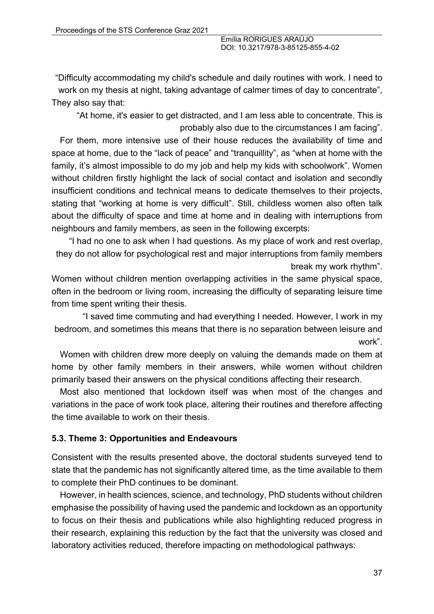"Difficulty accommodating my child's schedule and daily routines with work. I need to work on my thesis at night, taking advantage of calmer times of day to concentrate", They also say that:

"At home, it's easier to get distracted, and I am less able to concentrate. This is probably also due to the circumstances I am facing".

For them, more intensive use of their house reduces the availability of time and space at home, due to the "lack of peace" and "tranquillity", as "when at home with the family, it's almost impossible to do my job and help my kids with schoolwork". Women without children firstly highlight the lack of social contact and isolation and secondly insufficient conditions and technical means to dedicate themselves to their projects, stating that "working at home is very difficult". Still, childless women also often talk about the difficulty of space and time at home and in dealing with interruptions from neighbours and family members, as seen in the following excerpts:

"I had no one to ask when I had questions. As my place of work and rest overlap, they do not allow for psychological rest and major interruptions from family members break my work rhythm".

Women without children mention overlapping activities in the same physical space, often in the bedroom or living room, increasing the difficulty of separating leisure time from time spent writing their thesis.

"I saved time commuting and had everything I needed. However, I work in my bedroom, and sometimes this means that there is no separation between leisure and work".

Women with children drew more deeply on valuing the demands made on them at home by other family members in their answers, while women without children primarily based their answers on the physical conditions affecting their research.

Most also mentioned that lockdown itself was when most of the changes and variations in the pace of work took place, altering their routines and therefore affecting the time available to work on their thesis.

#### **5.3. Theme 3: Opportunities and Endeavours**

Consistent with the results presented above, the doctoral students surveyed tend to state that the pandemic has not significantly altered time, as the time available to them to complete their PhD continues to be dominant.

However, in health sciences, science, and technology, PhD students without children emphasise the possibility of having used the pandemic and lockdown as an opportunity to focus on their thesis and publications while also highlighting reduced progress in their research, explaining this reduction by the fact that the university was closed and laboratory activities reduced, therefore impacting on methodological pathways: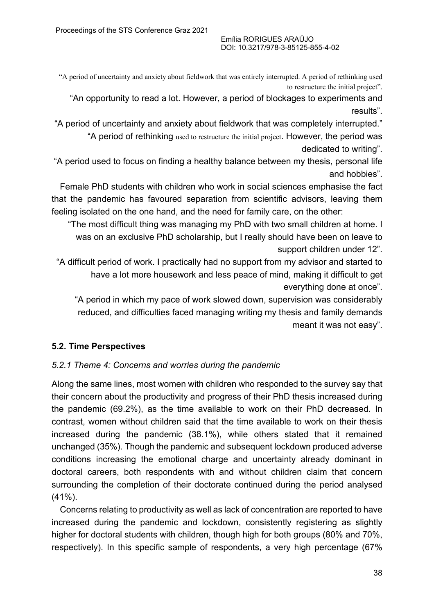"A period of uncertainty and anxiety about fieldwork that was entirely interrupted. A period of rethinking used to restructure the initial project".

"An opportunity to read a lot. However, a period of blockages to experiments and results".

"A period of uncertainty and anxiety about fieldwork that was completely interrupted." "A period of rethinking used to restructure the initial project. However, the period was

dedicated to writing".

"A period used to focus on finding a healthy balance between my thesis, personal life and hobbies".

Female PhD students with children who work in social sciences emphasise the fact that the pandemic has favoured separation from scientific advisors, leaving them feeling isolated on the one hand, and the need for family care, on the other:

"The most difficult thing was managing my PhD with two small children at home. I was on an exclusive PhD scholarship, but I really should have been on leave to support children under 12".

"A difficult period of work. I practically had no support from my advisor and started to have a lot more housework and less peace of mind, making it difficult to get everything done at once".

"A period in which my pace of work slowed down, supervision was considerably reduced, and difficulties faced managing writing my thesis and family demands meant it was not easy".

#### **5.2. Time Perspectives**

#### *5.2.1 Theme 4: Concerns and worries during the pandemic*

Along the same lines, most women with children who responded to the survey say that their concern about the productivity and progress of their PhD thesis increased during the pandemic (69.2%), as the time available to work on their PhD decreased. In contrast, women without children said that the time available to work on their thesis increased during the pandemic (38.1%), while others stated that it remained unchanged (35%). Though the pandemic and subsequent lockdown produced adverse conditions increasing the emotional charge and uncertainty already dominant in doctoral careers, both respondents with and without children claim that concern surrounding the completion of their doctorate continued during the period analysed (41%).

Concerns relating to productivity as well as lack of concentration are reported to have increased during the pandemic and lockdown, consistently registering as slightly higher for doctoral students with children, though high for both groups (80% and 70%, respectively). In this specific sample of respondents, a very high percentage (67%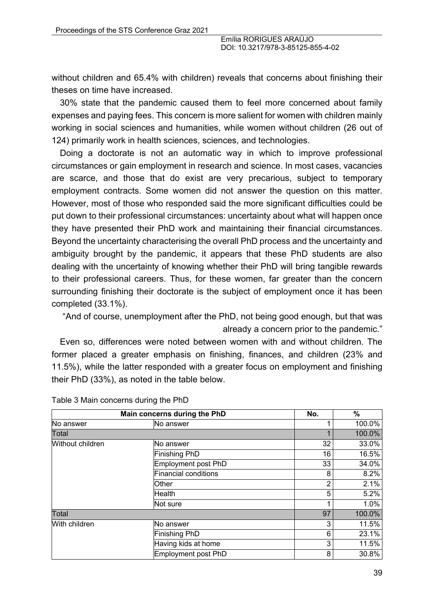without children and 65.4% with children) reveals that concerns about finishing their theses on time have increased.

30% state that the pandemic caused them to feel more concerned about family expenses and paying fees. This concern is more salient for women with children mainly working in social sciences and humanities, while women without children (26 out of 124) primarily work in health sciences, sciences, and technologies.

Doing a doctorate is not an automatic way in which to improve professional circumstances or gain employment in research and science. In most cases, vacancies are scarce, and those that do exist are very precarious, subject to temporary employment contracts. Some women did not answer the question on this matter. However, most of those who responded said the more significant difficulties could be put down to their professional circumstances: uncertainty about what will happen once they have presented their PhD work and maintaining their financial circumstances. Beyond the uncertainty characterising the overall PhD process and the uncertainty and ambiguity brought by the pandemic, it appears that these PhD students are also dealing with the uncertainty of knowing whether their PhD will bring tangible rewards to their professional careers. Thus, for these women, far greater than the concern surrounding finishing their doctorate is the subject of employment once it has been completed (33.1%).

"And of course, unemployment after the PhD, not being good enough, but that was already a concern prior to the pandemic."

Even so, differences were noted between women with and without children. The former placed a greater emphasis on finishing, finances, and children (23% and 11.5%), while the latter responded with a greater focus on employment and finishing their PhD (33%), as noted in the table below.

| Main concerns during the PhD |                            | No. | %      |
|------------------------------|----------------------------|-----|--------|
| No answer                    | No answer                  |     | 100.0% |
| Total                        |                            | 1   | 100.0% |
| Without children             | No answer                  | 32  | 33.0%  |
|                              | Finishing PhD              | 16  | 16.5%  |
|                              | <b>Employment post PhD</b> | 33  | 34.0%  |
|                              | Financial conditions       | 8   | 8.2%   |
|                              | Other                      | 2   | 2.1%   |
|                              | Health                     | 5   | 5.2%   |
|                              | Not sure                   | и   | 1.0%   |
| <b>Total</b>                 |                            | 97  | 100.0% |
| With children                | No answer                  | 3   | 11.5%  |
|                              | Finishing PhD              | 6   | 23.1%  |
|                              | Having kids at home        | 3   | 11.5%  |
|                              | <b>Employment post PhD</b> | 8   | 30.8%  |

#### Table 3 Main concerns during the PhD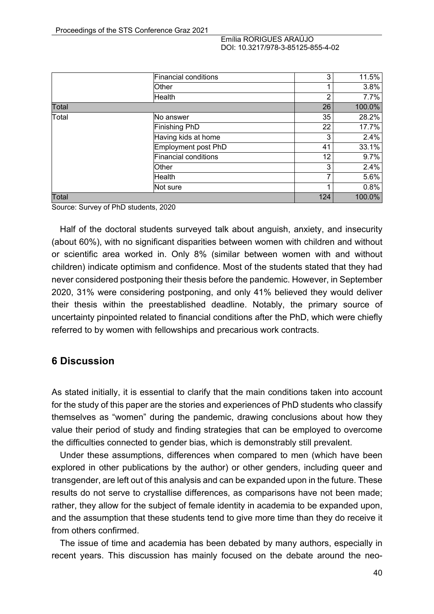|       | Financial conditions | 3   | 11.5%  |
|-------|----------------------|-----|--------|
|       | Other                |     | 3.8%   |
|       | Health               | 2   | 7.7%   |
| Total |                      | 26  | 100.0% |
| Total | lNo answer           | 35  | 28.2%  |
|       | Finishing PhD        | 22  | 17.7%  |
|       | Having kids at home  | 3   | 2.4%   |
|       | Employment post PhD  | 41  | 33.1%  |
|       | Financial conditions | 12  | 9.7%   |
|       | Other                | 3   | 2.4%   |
|       | Health               | 7   | 5.6%   |
|       | Not sure             |     | 0.8%   |
| Total |                      | 124 | 100.0% |

Source: Survey of PhD students, 2020

Half of the doctoral students surveyed talk about anguish, anxiety, and insecurity (about 60%), with no significant disparities between women with children and without or scientific area worked in. Only 8% (similar between women with and without children) indicate optimism and confidence. Most of the students stated that they had never considered postponing their thesis before the pandemic. However, in September 2020, 31% were considering postponing, and only 41% believed they would deliver their thesis within the preestablished deadline. Notably, the primary source of uncertainty pinpointed related to financial conditions after the PhD, which were chiefly referred to by women with fellowships and precarious work contracts.

#### **6 Discussion**

As stated initially, it is essential to clarify that the main conditions taken into account for the study of this paper are the stories and experiences of PhD students who classify themselves as "women" during the pandemic, drawing conclusions about how they value their period of study and finding strategies that can be employed to overcome the difficulties connected to gender bias, which is demonstrably still prevalent.

Under these assumptions, differences when compared to men (which have been explored in other publications by the author) or other genders, including queer and transgender, are left out of this analysis and can be expanded upon in the future. These results do not serve to crystallise differences, as comparisons have not been made; rather, they allow for the subject of female identity in academia to be expanded upon, and the assumption that these students tend to give more time than they do receive it from others confirmed.

The issue of time and academia has been debated by many authors, especially in recent years. This discussion has mainly focused on the debate around the neo-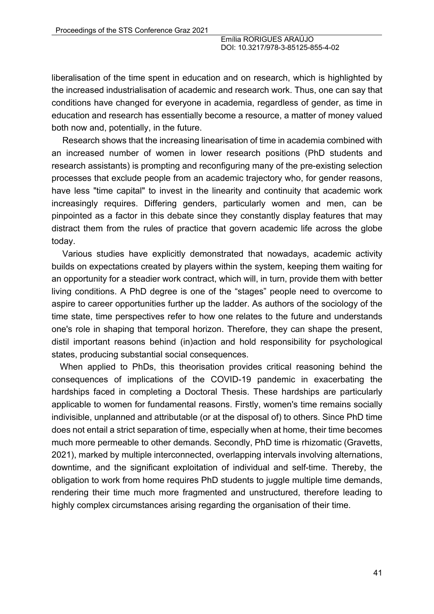liberalisation of the time spent in education and on research, which is highlighted by the increased industrialisation of academic and research work. Thus, one can say that conditions have changed for everyone in academia, regardless of gender, as time in education and research has essentially become a resource, a matter of money valued both now and, potentially, in the future.

Research shows that the increasing linearisation of time in academia combined with an increased number of women in lower research positions (PhD students and research assistants) is prompting and reconfiguring many of the pre-existing selection processes that exclude people from an academic trajectory who, for gender reasons, have less "time capital" to invest in the linearity and continuity that academic work increasingly requires. Differing genders, particularly women and men, can be pinpointed as a factor in this debate since they constantly display features that may distract them from the rules of practice that govern academic life across the globe today.

Various studies have explicitly demonstrated that nowadays, academic activity builds on expectations created by players within the system, keeping them waiting for an opportunity for a steadier work contract, which will, in turn, provide them with better living conditions. A PhD degree is one of the "stages" people need to overcome to aspire to career opportunities further up the ladder. As authors of the sociology of the time state, time perspectives refer to how one relates to the future and understands one's role in shaping that temporal horizon. Therefore, they can shape the present, distil important reasons behind (in)action and hold responsibility for psychological states, producing substantial social consequences.

When applied to PhDs, this theorisation provides critical reasoning behind the consequences of implications of the COVID-19 pandemic in exacerbating the hardships faced in completing a Doctoral Thesis. These hardships are particularly applicable to women for fundamental reasons. Firstly, women's time remains socially indivisible, unplanned and attributable (or at the disposal of) to others. Since PhD time does not entail a strict separation of time, especially when at home, their time becomes much more permeable to other demands. Secondly, PhD time is rhizomatic (Gravetts, 2021), marked by multiple interconnected, overlapping intervals involving alternations, downtime, and the significant exploitation of individual and self-time. Thereby, the obligation to work from home requires PhD students to juggle multiple time demands, rendering their time much more fragmented and unstructured, therefore leading to highly complex circumstances arising regarding the organisation of their time.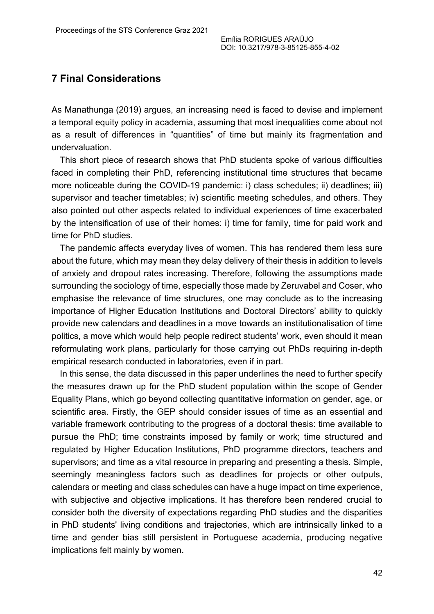### **7 Final Considerations**

As Manathunga (2019) argues, an increasing need is faced to devise and implement a temporal equity policy in academia, assuming that most inequalities come about not as a result of differences in "quantities" of time but mainly its fragmentation and undervaluation.

This short piece of research shows that PhD students spoke of various difficulties faced in completing their PhD, referencing institutional time structures that became more noticeable during the COVID-19 pandemic: i) class schedules; ii) deadlines; iii) supervisor and teacher timetables; iv) scientific meeting schedules, and others. They also pointed out other aspects related to individual experiences of time exacerbated by the intensification of use of their homes: i) time for family, time for paid work and time for PhD studies.

The pandemic affects everyday lives of women. This has rendered them less sure about the future, which may mean they delay delivery of their thesis in addition to levels of anxiety and dropout rates increasing. Therefore, following the assumptions made surrounding the sociology of time, especially those made by Zeruvabel and Coser, who emphasise the relevance of time structures, one may conclude as to the increasing importance of Higher Education Institutions and Doctoral Directors' ability to quickly provide new calendars and deadlines in a move towards an institutionalisation of time politics, a move which would help people redirect students' work, even should it mean reformulating work plans, particularly for those carrying out PhDs requiring in-depth empirical research conducted in laboratories, even if in part.

In this sense, the data discussed in this paper underlines the need to further specify the measures drawn up for the PhD student population within the scope of Gender Equality Plans, which go beyond collecting quantitative information on gender, age, or scientific area. Firstly, the GEP should consider issues of time as an essential and variable framework contributing to the progress of a doctoral thesis: time available to pursue the PhD; time constraints imposed by family or work; time structured and regulated by Higher Education Institutions, PhD programme directors, teachers and supervisors; and time as a vital resource in preparing and presenting a thesis. Simple, seemingly meaningless factors such as deadlines for projects or other outputs, calendars or meeting and class schedules can have a huge impact on time experience, with subjective and objective implications. It has therefore been rendered crucial to consider both the diversity of expectations regarding PhD studies and the disparities in PhD students' living conditions and trajectories, which are intrinsically linked to a time and gender bias still persistent in Portuguese academia, producing negative implications felt mainly by women.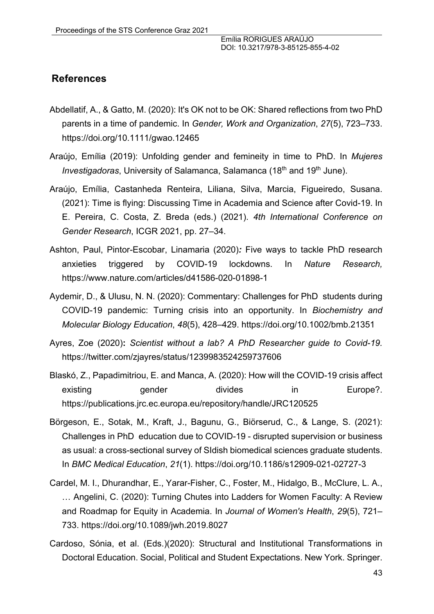### **References**

- Abdellatif, A., & Gatto, M. (2020): It's OK not to be OK: Shared reflections from two PhD parents in a time of pandemic. In *Gender, Work and Organization*, *27*(5), 723–733. https://doi.org/10.1111/gwao.12465
- Araújo, Emília (2019): Unfolding gender and femineity in time to PhD. In *Mujeres Investigadoras*, University of Salamanca, Salamanca (18<sup>th</sup> and 19<sup>th</sup> June).
- Araújo, Emília, Castanheda Renteira, Liliana, Silva, Marcia, Figueiredo, Susana. (2021): Time is flying: Discussing Time in Academia and Science after Covid-19. In E. Pereira, C. Costa, Z. Breda (eds.) (2021). *4th International Conference on Gender Research*, ICGR 2021, pp. 27–34.
- Ashton, Paul, Pintor-Escobar, Linamaria (2020)*:* Five ways to tackle PhD research anxieties triggered by COVID-19 lockdowns. In *Nature Research,*  https://www.nature.com/articles/d41586-020-01898-1
- Aydemir, D., & Ulusu, N. N. (2020): Commentary: Challenges for PhD students during COVID-19 pandemic: Turning crisis into an opportunity. In *Biochemistry and Molecular Biology Education*, *48*(5), 428–429. https://doi.org/10.1002/bmb.21351
- Ayres, Zoe (2020)**:** *Scientist without a lab? A PhD Researcher guide to Covid-19.* https://twitter.com/zjayres/status/1239983524259737606
- Blaskó, Z., Papadimitriou, E. and Manca, A. (2020): How will the COVID-19 crisis affect existing gender divides in Europe?. https://publications.jrc.ec.europa.eu/repository/handle/JRC120525
- Börgeson, E., Sotak, M., Kraft, J., Bagunu, G., Biörserud, C., & Lange, S. (2021): Challenges in PhD education due to COVID-19 - disrupted supervision or business as usual: a cross-sectional survey of SIdish biomedical sciences graduate students. In *BMC Medical Education*, *21*(1). https://doi.org/10.1186/s12909-021-02727-3
- Cardel, M. I., Dhurandhar, E., Yarar-Fisher, C., Foster, M., Hidalgo, B., McClure, L. A., … Angelini, C. (2020): Turning Chutes into Ladders for Women Faculty: A Review and Roadmap for Equity in Academia. In *Journal of Women's Health*, *29*(5), 721– 733. https://doi.org/10.1089/jwh.2019.8027
- Cardoso, Sónia, et al. (Eds.)(2020): Structural and Institutional Transformations in Doctoral Education. Social, Political and Student Expectations. New York. Springer.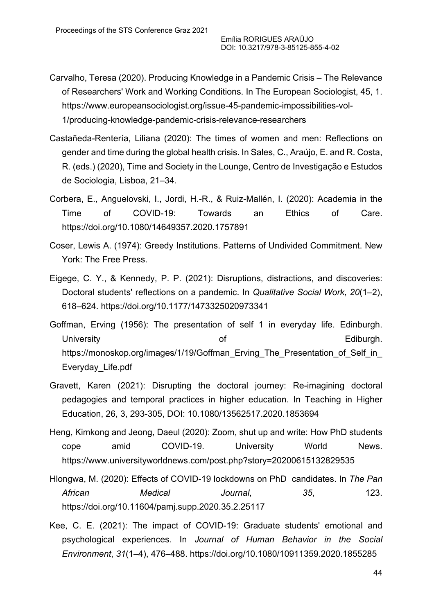- Carvalho, Teresa (2020). Producing Knowledge in a Pandemic Crisis The Relevance of Researchers' Work and Working Conditions. In The European Sociologist, 45, 1. https://www.europeansociologist.org/issue-45-pandemic-impossibilities-vol-1/producing-knowledge-pandemic-crisis-relevance-researchers
- Castañeda-Rentería, Liliana (2020): The times of women and men: Reflections on gender and time during the global health crisis. In Sales, C., Araújo, E. and R. Costa, R. (eds.) (2020), Time and Society in the Lounge, Centro de Investigação e Estudos de Sociologia, Lisboa, 21–34.
- Corbera, E., Anguelovski, I., Jordi, H.-R., & Ruiz-Mallén, I. (2020): Academia in the Time of COVID-19: Towards an Ethics of Care. https://doi.org/10.1080/14649357.2020.1757891
- Coser, Lewis A. (1974): Greedy Institutions. Patterns of Undivided Commitment. New York: The Free Press.
- Eigege, C. Y., & Kennedy, P. P. (2021): Disruptions, distractions, and discoveries: Doctoral students' reflections on a pandemic. In *Qualitative Social Work*, *20*(1–2), 618–624. https://doi.org/10.1177/1473325020973341
- Goffman, Erving (1956): The presentation of self 1 in everyday life. Edinburgh. University **Ediburgh.** The contract of the contract of the Ediburgh. https://monoskop.org/images/1/19/Goffman\_Erving\_The\_Presentation\_of\_Self\_in Everyday\_Life.pdf
- Gravett, Karen (2021): Disrupting the doctoral journey: Re-imagining doctoral pedagogies and temporal practices in higher education. In Teaching in Higher Education, 26, 3, 293-305, DOI: 10.1080/13562517.2020.1853694
- Heng, Kimkong and Jeong, Daeul (2020): Zoom, shut up and write: How PhD students cope amid COVID-19. University World News. https://www.universityworldnews.com/post.php?story=20200615132829535
- Hlongwa, M. (2020): Effects of COVID-19 lockdowns on PhD candidates. In *The Pan African Medical Journal*, *35*, 123. https://doi.org/10.11604/pamj.supp.2020.35.2.25117
- Kee, C. E. (2021): The impact of COVID-19: Graduate students' emotional and psychological experiences. In *Journal of Human Behavior in the Social Environment*, *31*(1–4), 476–488. https://doi.org/10.1080/10911359.2020.1855285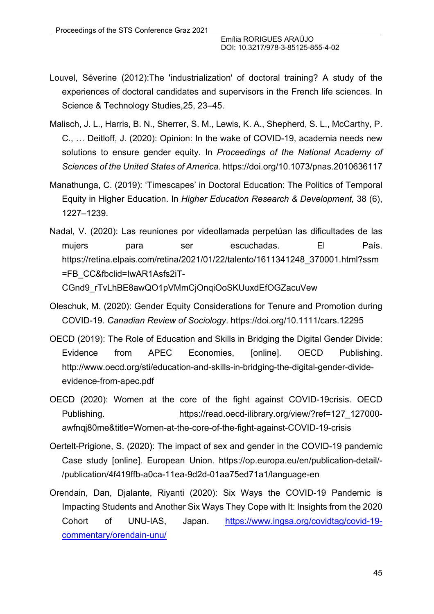- Louvel, Séverine (2012):The 'industrialization' of doctoral training? A study of the experiences of doctoral candidates and supervisors in the French life sciences. In Science & Technology Studies,25, 23–45.
- Malisch, J. L., Harris, B. N., Sherrer, S. M., Lewis, K. A., Shepherd, S. L., McCarthy, P. C., … Deitloff, J. (2020): Opinion: In the wake of COVID-19, academia needs new solutions to ensure gender equity. In *Proceedings of the National Academy of Sciences of the United States of America*. https://doi.org/10.1073/pnas.2010636117
- Manathunga, C. (2019): 'Timescapes' in Doctoral Education: The Politics of Temporal Equity in Higher Education. In *Higher Education Research & Development,* 38 (6), 1227–1239.
- Nadal, V. (2020): Las reuniones por videollamada perpetúan las dificultades de las mujers para ser escuchadas. El País. https://retina.elpais.com/retina/2021/01/22/talento/1611341248\_370001.html?ssm =FB\_CC&fbclid=IwAR1Asfs2iT-CGnd9\_rTvLhBE8awQO1pVMmCjOnqiOoSKUuxdEfOGZacuVew
- Oleschuk, M. (2020): Gender Equity Considerations for Tenure and Promotion during COVID-19. *Canadian Review of Sociology*. https://doi.org/10.1111/cars.12295
- OECD (2019): The Role of Education and Skills in Bridging the Digital Gender Divide: Evidence from APEC Economies, [online]. OECD Publishing. http://www.oecd.org/sti/education-and-skills-in-bridging-the-digital-gender-divideevidence-from-apec.pdf
- OECD (2020): Women at the core of the fight against COVID-19crisis. OECD Publishing. https://read.oecd-ilibrary.org/view/?ref=127\_127000 awfnqj80me&title=Women-at-the-core-of-the-fight-against-COVID-19-crisis
- Oertelt-Prigione, S. (2020): The impact of sex and gender in the COVID-19 pandemic Case study [online]. European Union. https://op.europa.eu/en/publication-detail/- /publication/4f419ffb-a0ca-11ea-9d2d-01aa75ed71a1/language-en
- Orendain, Dan, Djalante, Riyanti (2020): Six Ways the COVID-19 Pandemic is Impacting Students and Another Six Ways They Cope with It: Insights from the 2020 Cohort of UNU-IAS, Japan. https://www.ingsa.org/covidtag/covid-19 commentary/orendain-unu/